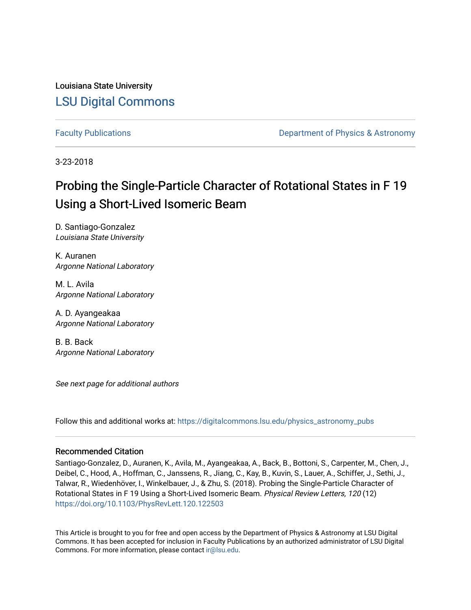Louisiana State University [LSU Digital Commons](https://digitalcommons.lsu.edu/)

[Faculty Publications](https://digitalcommons.lsu.edu/physics_astronomy_pubs) **Example 2** Constant Department of Physics & Astronomy

3-23-2018

## Probing the Single-Particle Character of Rotational States in F 19 Using a Short-Lived Isomeric Beam

D. Santiago-Gonzalez Louisiana State University

K. Auranen Argonne National Laboratory

M. L. Avila Argonne National Laboratory

A. D. Ayangeakaa Argonne National Laboratory

B. B. Back Argonne National Laboratory

See next page for additional authors

Follow this and additional works at: [https://digitalcommons.lsu.edu/physics\\_astronomy\\_pubs](https://digitalcommons.lsu.edu/physics_astronomy_pubs?utm_source=digitalcommons.lsu.edu%2Fphysics_astronomy_pubs%2F1243&utm_medium=PDF&utm_campaign=PDFCoverPages) 

### Recommended Citation

Santiago-Gonzalez, D., Auranen, K., Avila, M., Ayangeakaa, A., Back, B., Bottoni, S., Carpenter, M., Chen, J., Deibel, C., Hood, A., Hoffman, C., Janssens, R., Jiang, C., Kay, B., Kuvin, S., Lauer, A., Schiffer, J., Sethi, J., Talwar, R., Wiedenhöver, I., Winkelbauer, J., & Zhu, S. (2018). Probing the Single-Particle Character of Rotational States in F 19 Using a Short-Lived Isomeric Beam. Physical Review Letters, 120 (12) <https://doi.org/10.1103/PhysRevLett.120.122503>

This Article is brought to you for free and open access by the Department of Physics & Astronomy at LSU Digital Commons. It has been accepted for inclusion in Faculty Publications by an authorized administrator of LSU Digital Commons. For more information, please contact [ir@lsu.edu](mailto:ir@lsu.edu).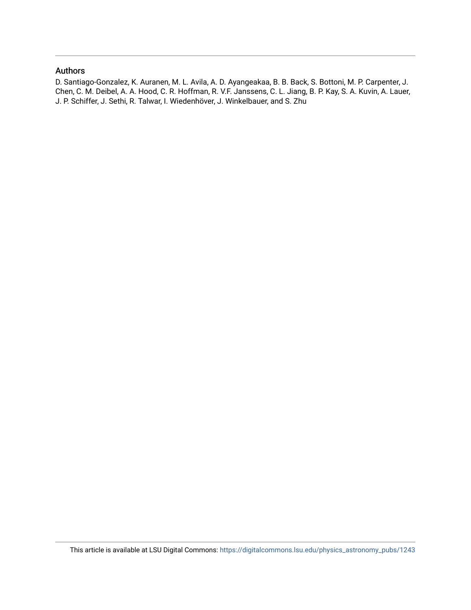### Authors

D. Santiago-Gonzalez, K. Auranen, M. L. Avila, A. D. Ayangeakaa, B. B. Back, S. Bottoni, M. P. Carpenter, J. Chen, C. M. Deibel, A. A. Hood, C. R. Hoffman, R. V.F. Janssens, C. L. Jiang, B. P. Kay, S. A. Kuvin, A. Lauer, J. P. Schiffer, J. Sethi, R. Talwar, I. Wiedenhöver, J. Winkelbauer, and S. Zhu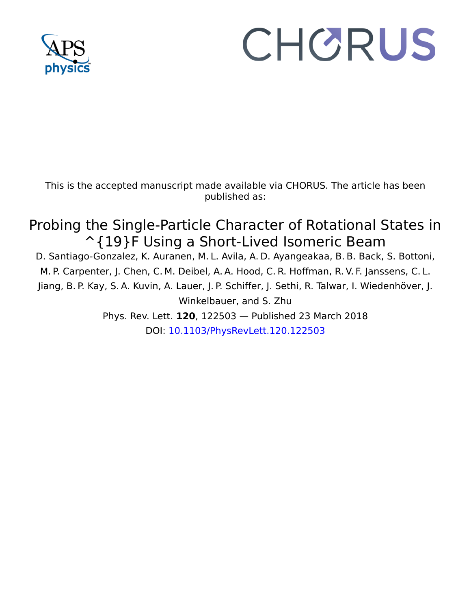

# CHORUS

This is the accepted manuscript made available via CHORUS. The article has been published as:

## Probing the Single-Particle Character of Rotational States in ^{19}F Using a Short-Lived Isomeric Beam

D. Santiago-Gonzalez, K. Auranen, M. L. Avila, A. D. Ayangeakaa, B. B. Back, S. Bottoni, M. P. Carpenter, J. Chen, C. M. Deibel, A. A. Hood, C. R. Hoffman, R. V. F. Janssens, C. L. Jiang, B. P. Kay, S. A. Kuvin, A. Lauer, J. P. Schiffer, J. Sethi, R. Talwar, I. Wiedenhöver, J. Winkelbauer, and S. Zhu Phys. Rev. Lett. **120**, 122503 — Published 23 March 2018

DOI: [10.1103/PhysRevLett.120.122503](http://dx.doi.org/10.1103/PhysRevLett.120.122503)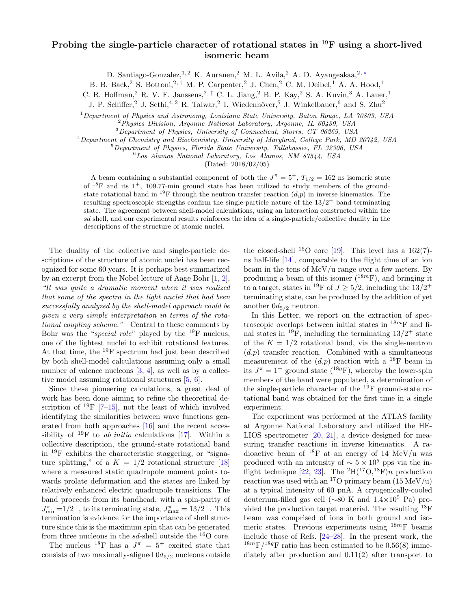### Probing the single-particle character of rotational states in  $^{19}$ F using a short-lived isomeric beam

D. Santiago-Gonzalez,<sup>1, 2</sup> K. Auranen,<sup>2</sup> M. L. Avila,<sup>2</sup> A. D. Ayangeakaa,<sup>2, [∗](#page-6-0)</sup>

B. B. Back, <sup>2</sup> S. Bottoni, <sup>2, [†](#page-6-1)</sup> M. P. Carpenter, <sup>2</sup> J. Chen, <sup>2</sup> C. M. Deibel, <sup>1</sup> A. A. Hood,<sup>1</sup>

C. R. Hoffman,<sup>2</sup> R. V. F. Janssens,<sup>2, [‡](#page-6-2)</sup> C. L. Jiang,<sup>2</sup> B. P. Kay,<sup>2</sup> S. A. Kuvin,<sup>3</sup> A. Lauer,<sup>1</sup>

J. P. Schiffer,<sup>2</sup> J. Sethi,<sup>4,2</sup> R. Talwar,<sup>2</sup> I. Wiedenhöver,<sup>5</sup> J. Winkelbauer,<sup>6</sup> and S. Zhu<sup>2</sup>

 $1$  Department of Physics and Astronomy, Louisiana State University, Baton Rouge, LA 70803, USA

<sup>2</sup>Physics Division, Argonne National Laboratory, Argonne, IL 60439, USA

<sup>3</sup>Department of Physics, University of Connecticut, Storrs, CT 06269, USA

<sup>4</sup>Department of Chemistry and Biochemistry, University of Maryland, College Park, MD 20742, USA

<sup>5</sup>Department of Physics, Florida State University, Tallahassee, FL 32306, USA

<sup>6</sup>Los Alamos National Laboratory, Los Alamos, NM 87544, USA

(Dated: 2018/02/05)

A beam containing a substantial component of both the  $J^{\pi} = 5^{+}$ ,  $T_{1/2} = 162$  ns isomeric state of  $^{18}F$  and its  $1^+$ , 109.77-min ground state has been utilized to study members of the groundstate rotational band in <sup>19</sup>F through the neutron transfer reaction  $(d,p)$  in inverse kinematics. The resulting spectroscopic strengths confirm the single-particle nature of the  $13/2^+$  band-terminating state. The agreement between shell-model calculations, using an interaction constructed within the sd shell, and our experimental results reinforces the idea of a single-particle/collective duality in the descriptions of the structure of atomic nuclei.

The duality of the collective and single-particle descriptions of the structure of atomic nuclei has been recognized for some 60 years. It is perhaps best summarized by an excerpt from the Nobel lecture of Aage Bohr [\[1,](#page-7-0) [2\]](#page-7-1), "It was quite a dramatic moment when it was realized that some of the spectra in the light nuclei that had been successfully analyzed by the shell-model approach could be given a very simple interpretation in terms of the rotational coupling scheme." Central to these comments by Bohr was the "special role" played by the  $^{19}$ F nucleus, one of the lightest nuclei to exhibit rotational features. At that time, the <sup>19</sup>F spectrum had just been described by both shell-model calculations assuming only a small number of valence nucleons [\[3,](#page-7-2) [4\]](#page-7-3), as well as by a collective model assuming rotational structures [\[5,](#page-7-4) [6\]](#page-7-5).

Since these pioneering calculations, a great deal of work has been done aiming to refine the theoretical description of  $^{19}$ F [\[7](#page-7-6)[–15\]](#page-7-7), not the least of which involved identifying the similarities between wave functions generated from both approaches [\[16\]](#page-7-8) and the recent accessibility of <sup>19</sup>F to *ab initio* calculations [\[17\]](#page-7-9). Within a collective description, the ground-state rotational band in  $^{19}$ F exhibits the characteristic staggering, or "signature splitting," of a  $K = 1/2$  rotational structure [\[18\]](#page-7-10) where a measured static quadrupole moment points towards prolate deformation and the states are linked by relatively enhanced electric quadrupole transitions. The band proceeds from its bandhead, with a spin-parity of  $J_{\min}^{\pi}$ =1/2<sup>+</sup>, to its terminating state,  $J_{\max}^{\pi}$  = 13/2<sup>+</sup>. This termination is evidence for the importance of shell structure since this is the maximum spin that can be generated from three nucleons in the  $sd$ -shell outside the  $^{16}$ O core.

The nucleus <sup>18</sup>F has a  $J^{\pi} = 5^{+}$  excited state that consists of two maximally-aligned  $0d_{5/2}$  nucleons outside

the closed-shell <sup>16</sup>O core [\[19\]](#page-7-11). This level has a  $162(7)$ ns half-life [\[14\]](#page-7-12), comparable to the flight time of an ion beam in the tens of MeV/u range over a few meters. By producing a beam of this isomer  $(^{18m}F)$ , and bringing it to a target, states in <sup>19</sup>F of  $J \geq 5/2$ , including the 13/2<sup>+</sup> terminating state, can be produced by the addition of yet another  $0d_{5/2}$  neutron.

In this Letter, we report on the extraction of spectroscopic overlaps between initial states in  $18m$ F and final states in  $^{19}$ F, including the terminating  $13/2^+$  state of the  $K = 1/2$  rotational band, via the single-neutron  $(d,p)$  transfer reaction. Combined with a simultaneous measurement of the  $(d,p)$  reaction with a <sup>18</sup>F beam in its  $J^{\pi} = 1^{+}$  ground state (<sup>18g</sup>F), whereby the lower-spin members of the band were populated, a determination of the single-particle character of the <sup>19</sup>F ground-state rotational band was obtained for the first time in a single experiment.

The experiment was performed at the ATLAS facility at Argonne National Laboratory and utilized the HE-LIOS spectrometer [\[20,](#page-7-13) [21\]](#page-7-14), a device designed for measuring transfer reactions in inverse kinematics. A radioactive beam of  $^{18}$ F at an energy of 14 MeV/u was produced with an intensity of  $\sim 5 \times 10^5$  pps via the in-flight technique [\[22,](#page-7-15) [23\]](#page-7-16). The <sup>2</sup>H(<sup>17</sup>O,<sup>18</sup>F)n production reaction was used with an <sup>17</sup>O primary beam  $(15 \text{ MeV/u})$ at a typical intensity of 60 pnA. A cryogenically-cooled deuterium-filled gas cell (∼80 K and 1.4×10<sup>5</sup> Pa) provided the production target material. The resulting <sup>18</sup>F beam was comprised of ions in both ground and isomeric states. Previous experiments using  $18m$ F beams include those of Refs. [\[24](#page-7-17)[–28\]](#page-7-18). In the present work, the  $1^{8m}F/1^{8g}F$  ratio has been estimated to be 0.56(8) immediately after production and 0.11(2) after transport to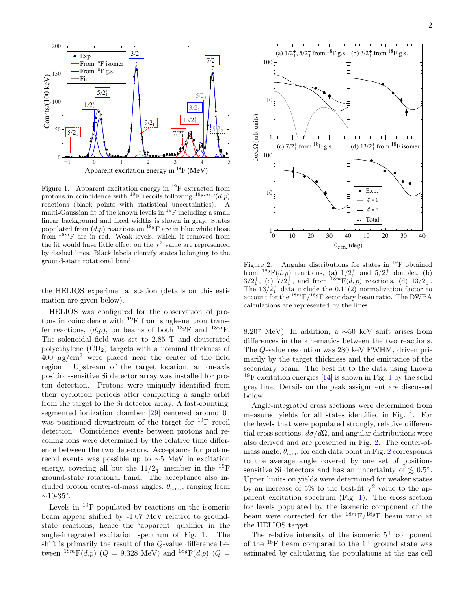

<span id="page-4-0"></span>Figure 1. Apparent excitation energy in  $^{19}$ F extracted from protons in coincidence with <sup>19</sup>F recoils following <sup>18g,m</sup>F(d,p) reactions (black points with statistical uncertainties). A multi-Gaussian fit of the known levels in  $^{19}$ F including a small linear background and fixed widths is shown in gray. States populated from  $(d,p)$  reactions on <sup>18g</sup>F are in blue while those from  $18m$ F are in red. Weak levels, which, if removed from the fit would have little effect on the  $\chi^2$  value are represented by dashed lines. Black labels identify states belonging to the ground-state rotational band.

the HELIOS experimental station (details on this estimation are given below).

HELIOS was configured for the observation of protons in coincidence with  $^{19}$ F from single-neutron transfer reactions,  $(d,p)$ , on beams of both <sup>18g</sup>F and <sup>18m</sup>F. The solenoidal field was set to 2.85 T and deuterated polyethylene  $(CD_2)$  targets with a nominal thickness of  $400 \mu g/cm^2$  were placed near the center of the field region. Upstream of the target location, an on-axis position-sensitive Si detector array was installed for proton detection. Protons were uniquely identified from their cyclotron periods after completing a single orbit from the target to the Si detector array. A fast-counting, segmented ionization chamber [\[29\]](#page-7-19) centered around 0<sup></sup>° was positioned downstream of the target for <sup>19</sup>F recoil detection. Coincidence events between protons and recoiling ions were determined by the relative time difference between the two detectors. Acceptance for protonrecoil events was possible up to ∼5 MeV in excitation energy, covering all but the  $11/2_1^+$  member in the <sup>19</sup>F ground-state rotational band. The acceptance also included proton center-of-mass angles,  $\theta_{\rm c.m.}$ , ranging from  $\sim$ 10-35°.

Levels in  $^{19}$ F populated by reactions on the isomeric beam appear shifted by -1.07 MeV relative to groundstate reactions, hence the 'apparent' qualifier in the angle-integrated excitation spectrum of Fig. [1.](#page-4-0) The shift is primarily the result of the Q-value difference between  $^{18m}F(d,p)$  ( $Q = 9.328$  MeV) and  $^{18g}F(d,p)$  ( $Q =$ 



<span id="page-4-1"></span>Figure 2. Angular distributions for states in  $^{19}$ F obtained from  $^{18g}F(d, p)$  reactions, (a)  $1/2<sub>1</sub><sup>+</sup>$  and  $5/2<sub>1</sub><sup>+</sup>$  doublet, (b)  $3/2_1^+$ , (c)  $7/2_1^+$ , and from  $1^{8m}F(d,p)$  reactions, (d)  $13/2_1^+$ . The  $13/2_1^+$  data include the 0.11(2) normalization factor to account for the  $18mF/^{18g}F$  secondary beam ratio. The DWBA calculations are represented by the lines.

8.207 MeV). In addition, a ∼50 keV shift arises from differences in the kinematics between the two reactions. The Q-value resolution was 280 keV FWHM, driven primarily by the target thickness and the emittance of the secondary beam. The best fit to the data using known  $19F$  $19F$  excitation energies [\[14\]](#page-7-12) is shown in Fig. 1 by the solid grey line. Details on the peak assignment are discussed below.

Angle-integrated cross sections were determined from measured yields for all states identified in Fig. [1.](#page-4-0) For the levels that were populated strongly, relative differential cross sections,  $d\sigma/d\Omega$ , and angular distributions were also derived and are presented in Fig. [2.](#page-4-1) The center-ofmass angle,  $\theta_{\rm c.m}$ , for each data point in Fig. [2](#page-4-1) corresponds to the average angle covered by one set of positionsensitive Si detectors and has an uncertainty of  $\lesssim 0.5^{\circ}$ . Upper limits on yields were determined for weaker states by an increase of 5% to the best-fit  $\chi^2$  value to the apparent excitation spectrum (Fig. [1\)](#page-4-0). The cross section for levels populated by the isomeric component of the beam were corrected for the  $^{18m}F/^{18g}F$  beam ratio at the HELIOS target.

The relative intensity of the isomeric  $5^+$  component of the  $^{18}$ F beam compared to the  $1^+$  ground state was estimated by calculating the populations at the gas cell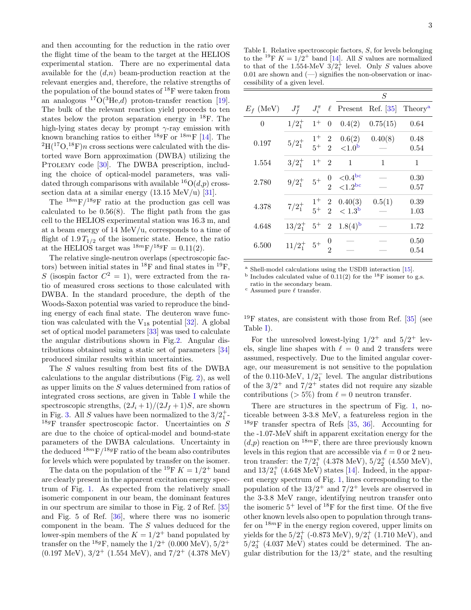and then accounting for the reduction in the ratio over the flight time of the beam to the target at the HELIOS experimental station. There are no experimental data available for the  $(d,n)$  beam-production reaction at the relevant energies and, therefore, the relative strengths of the population of the bound states of  $^{18}$ F were taken from an analogous  ${}^{17}O(^{3}He,d)$  proton-transfer reaction [\[19\]](#page-7-11). The bulk of the relevant reaction yield proceeds to ten states below the proton separation energy in  $^{18}$ F. The high-lying states decay by prompt  $\gamma$ -ray emission with known branching ratios to either  $^{18g}$ F or  $^{18m}$ F [\[14\]](#page-7-12). The  ${}^{2}H({}^{17}O,{}^{18}F)n$  cross sections were calculated with the distorted wave Born approximation (DWBA) utilizing the PTOLEMY code [\[30\]](#page-7-20). The DWBA prescription, including the choice of optical-model parameters, was validated through comparisons with available  ${}^{16}O(d,p)$  crosssection data at a similar energy  $(13.15 \text{ MeV/u})$  [\[31\]](#page-7-21).

The  $18mF/18gF$  ratio at the production gas cell was calculated to be  $0.56(8)$ . The flight path from the gas cell to the HELIOS experimental station was 16.3 m, and at a beam energy of 14 MeV/u, corresponds to a time of flight of  $1.9 T_{1/2}$  of the isomeric state. Hence, the ratio at the HELIOS target was  $^{18m}F/^{18g}F = 0.11(2)$ .

The relative single-neutron overlaps (spectroscopic factors) between initial states in  $^{18}$ F and final states in  $^{19}$ F, S (isospin factor  $C^2 = 1$ ), were extracted from the ratio of measured cross sections to those calculated with DWBA. In the standard procedure, the depth of the Woods-Saxon potential was varied to reproduce the binding energy of each final state. The deuteron wave function was calculated with the  $V_{18}$  potential [\[32\]](#page-7-22). A global set of optical model parameters [\[33\]](#page-7-23) was used to calculate the angular distributions shown in Fig[.2.](#page-4-1) Angular distributions obtained using a static set of parameters [\[34\]](#page-7-24) produced similar results within uncertainties.

The S values resulting from best fits of the DWBA calculations to the angular distributions (Fig. [2\)](#page-4-1), as well as upper limits on the S values determined from ratios of integrated cross sections, are given in Table [I](#page-5-0) while the spectroscopic strengths,  $(2J_i+1)/(2J_f+1)S$ , are shown in Fig. [3.](#page-6-3) All S values have been normalized to the  $3/2^+_1$ -<sup>18g</sup>F transfer spectroscopic factor. Uncertainties on  $S$ are due to the choice of optical-model and bound-state parameters of the DWBA calculations. Uncertainty in the deduced  $18mF/18gF$  ratio of the beam also contributes for levels which were populated by transfer on the isomer.

The data on the population of the <sup>19</sup>F  $K = 1/2^+$  band are clearly present in the apparent excitation energy spectrum of Fig. [1.](#page-4-0) As expected from the relatively small isomeric component in our beam, the dominant features in our spectrum are similar to those in Fig. 2 of Ref. [\[35\]](#page-7-25) and Fig. 5 of Ref. [\[36\]](#page-7-26), where there was no isomeric component in the beam. The S values deduced for the lower-spin members of the  $K = 1/2^+$  band populated by transfer on the <sup>18g</sup>F, namely the  $1/2^+$  (0.000 MeV),  $5/2^+$  $(0.197 \text{ MeV}), 3/2^+$   $(1.554 \text{ MeV}),$  and  $7/2^+$   $(4.378 \text{ MeV})$ 

<span id="page-5-0"></span>Table I. Relative spectroscopic factors, S, for levels belonging to the <sup>19</sup>F  $K = 1/2^+$  band [\[14\]](#page-7-12). All S values are normalized to that of the 1.554-MeV  $3/2_1^+$  level. Only S values above 0.01 are shown and  $(-)$  signifies the non-observation or inaccessibility of a given level.

|             |             |               |                                    | $\overline{S}$                          |              |                     |
|-------------|-------------|---------------|------------------------------------|-----------------------------------------|--------------|---------------------|
| $E_f$ (MeV) | $J_f^{\pi}$ | $J_i^{\pi}$   | $\ell$                             | Present                                 | Ref. [35]    | Theory <sup>a</sup> |
| $\theta$    | $1/2_1^+$   | $1^+$         | $\theta$                           | 0.4(2)                                  | 0.75(15)     | 0.64                |
| 0.197       | $5/2^+_1$   | $1^+$<br>$5+$ | $\overline{2}$<br>$\mathfrak{D}$   | 0.6(2)<br>${<}1.0b$                     | 0.40(8)      | 0.48<br>0.54        |
| 1.554       | $3/2^+$     | $1^+$         | $\overline{2}$                     | $\mathbf{1}$                            | $\mathbf{1}$ | 1                   |
| 2.780       | $9/2^+_1$   | $5+$          | $\boldsymbol{0}$<br>$\mathcal{D}$  | ${<}0.4^{\rm bc}$<br>$\langle 1.2^{bc}$ |              | 0.30<br>0.57        |
| 4.378       | $7/2_1^+$   | $1^+$<br>$5+$ | $\overline{2}$<br>$\overline{2}$   | 0.40(3)<br>< 1.3 <sup>b</sup>           | 0.5(1)       | 0.39<br>1.03        |
| 4.648       | $13/2_1^+$  | $5+$          | $\mathbf{2}$                       | $1.8(4)$ <sup>b</sup>                   |              | 1.72                |
| 6.500       | $11/2_1^+$  | $5^+$         | $\boldsymbol{0}$<br>$\mathfrak{D}$ |                                         |              | 0.50<br>0.54        |

<span id="page-5-1"></span><sup>a</sup> Shell-model calculations using the USDB interaction [\[15\]](#page-7-7).

<span id="page-5-2"></span> $<sup>b</sup>$  Includes calculated value of 0.11(2) for the <sup>18</sup>F isomer to g.s.</sup> ratio in the secondary beam.

<span id="page-5-3"></span> $\epsilon$  Assumed pure  $\ell$  transfer.

 $^{19}$ F states, are consistent with those from Ref. [\[35\]](#page-7-25) (see Table [I\)](#page-5-0).

For the unresolved lowest-lying  $1/2^+$  and  $5/2^+$  levels, single line shapes with  $\ell = 0$  and 2 transfers were assumed, respectively. Due to the limited angular coverage, our measurement is not sensitive to the population of the 0.110-MeV,  $1/2<sub>1</sub><sup>-</sup>$  level. The angular distributions of the  $3/2^+$  and  $7/2^+$  states did not require any sizable contributions ( $> 5\%$ ) from  $\ell = 0$  neutron transfer.

There are structures in the spectrum of Fig. [1,](#page-4-0) noticeable between 3-3.8 MeV, a featureless region in the  $18gF$  transfer spectra of Refs [\[35,](#page-7-25) [36\]](#page-7-26). Accounting for the -1.07-MeV shift in apparent excitation energy for the  $(d,p)$  reaction on <sup>18m</sup>F, there are three previously known levels in this region that are accessible via  $\ell = 0$  or 2 neutron transfer: the  $7/2^+_1$  (4.378 MeV),  $5/2^+_2$  (4.550 MeV), and  $13/2^+_1$  (4.648 MeV) states [\[14\]](#page-7-12). Indeed, in the apparent energy spectrum of Fig. [1,](#page-4-0) lines corresponding to the population of the  $13/2^+$  and  $7/2^+$  levels are observed in the 3-3.8 MeV range, identifying neutron transfer onto the isomeric  $5^+$  level of  $^{18}$ F for the first time. Of the five other known levels also open to population through transfer on  $18m$ F in the energy region covered, upper limits on yields for the  $5/2^+_1$  (-0.873 MeV),  $9/2^+_1$  (1.710 MeV), and  $5/2^+_3$  (4.037 MeV) states could be determined. The angular distribution for the  $13/2^+$  state, and the resulting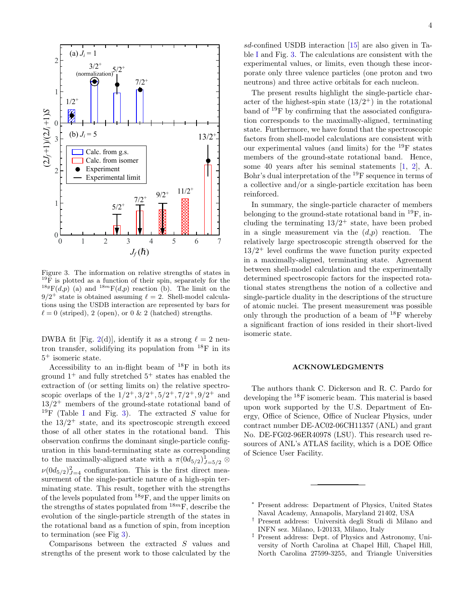

<span id="page-6-3"></span>Figure 3. The information on relative strengths of states in  $^{19}$ F is plotted as a function of their spin, separately for the  $^{18g}F(d,p)$  (a) and  $^{18m}F(d,p)$  reaction (b). The limit on the  $9/2^+$  state is obtained assuming  $\ell = 2$ . Shell-model calculations using the USDB interaction are represented by bars for  $\ell = 0$  (striped), 2 (open), or 0 & 2 (hatched) strengths.

DWBA fit [Fig. [2\(](#page-4-1)d)], identify it as a strong  $\ell = 2$  neutron transfer, solidifying its population from  $^{18}$ F in its 5 <sup>+</sup> isomeric state.

Accessibility to an in-flight beam of  $^{18}F$  in both its ground  $1^+$  and fully stretched  $5^+$  states has enabled the extraction of (or setting limits on) the relative spectroscopic overlaps of the  $1/2^+, 3/2^+, 5/2^+, 7/2^+, 9/2^+$  and  $13/2^+$  members of the ground-state rotational band of <sup>19</sup>F (Table [I](#page-5-0) and Fig. [3\)](#page-6-3). The extracted S value for the  $13/2$ <sup>+</sup> state, and its spectroscopic strength exceed those of all other states in the rotational band. This observation confirms the dominant single-particle configuration in this band-terminating state as corresponding to the maximally-aligned state with a  $\pi(0d_{5/2})_{J=5/2}^1\otimes$  $\nu(0d_{5/2})_{J=4}^2$  configuration. This is the first direct measurement of the single-particle nature of a high-spin terminating state. This result, together with the strengths of the levels populated from  $^{18g}$ F, and the upper limits on the strengths of states populated from  $18m$ F, describe the evolution of the single-particle strength of the states in the rotational band as a function of spin, from inception to termination (see Fig [3\)](#page-6-3).

Comparisons between the extracted S values and strengths of the present work to those calculated by the

sd-confined USDB interaction [\[15\]](#page-7-7) are also given in Table [I](#page-5-0) and Fig. [3.](#page-6-3) The calculations are consistent with the experimental values, or limits, even though these incorporate only three valence particles (one proton and two neutrons) and three active orbitals for each nucleon.

The present results highlight the single-particle character of the highest-spin state  $(13/2^+)$  in the rotational band of  $^{19}$ F by confirming that the associated configuration corresponds to the maximally-aligned, terminating state. Furthermore, we have found that the spectroscopic factors from shell-model calculations are consistent with our experimental values (and limits) for the <sup>19</sup>F states members of the ground-state rotational band. Hence, some 40 years after his seminal statements [\[1,](#page-7-0) [2\]](#page-7-1), A. Bohr's dual interpretation of the <sup>19</sup>F sequence in terms of a collective and/or a single-particle excitation has been reinforced.

In summary, the single-particle character of members belonging to the ground-state rotational band in <sup>19</sup>F, including the terminating  $13/2^+$  state, have been probed in a single measurement via the  $(d,p)$  reaction. The relatively large spectroscopic strength observed for the  $13/2$ <sup>+</sup> level confirms the wave function purity expected in a maximally-aligned, terminating state. Agreement between shell-model calculation and the experimentally determined spectroscopic factors for the inspected rotational states strengthens the notion of a collective and single-particle duality in the descriptions of the structure of atomic nuclei. The present measurement was possible only through the production of a beam of <sup>18</sup>F whereby a significant fraction of ions resided in their short-lived isomeric state.

#### ACKNOWLEDGMENTS

The authors thank C. Dickerson and R. C. Pardo for developing the <sup>18</sup>F isomeric beam. This material is based upon work supported by the U.S. Department of Energy, Office of Science, Office of Nuclear Physics, under contract number DE-AC02-06CH11357 (ANL) and grant No. DE-FG02-96ER40978 (LSU). This research used resources of ANL's ATLAS facility, which is a DOE Office of Science User Facility.

<span id="page-6-0"></span>Present address: Department of Physics, United States Naval Academy, Annapolis, Maryland 21402, USA

<span id="page-6-1"></span><sup>&</sup>lt;sup>†</sup> Present address: Università degli Studi di Milano and INFN sez. Milano, I-20133, Milano, Italy

<span id="page-6-2"></span><sup>‡</sup> Present address: Dept. of Physics and Astronomy, University of North Carolina at Chapel Hill, Chapel Hill, North Carolina 27599-3255, and Triangle Universities